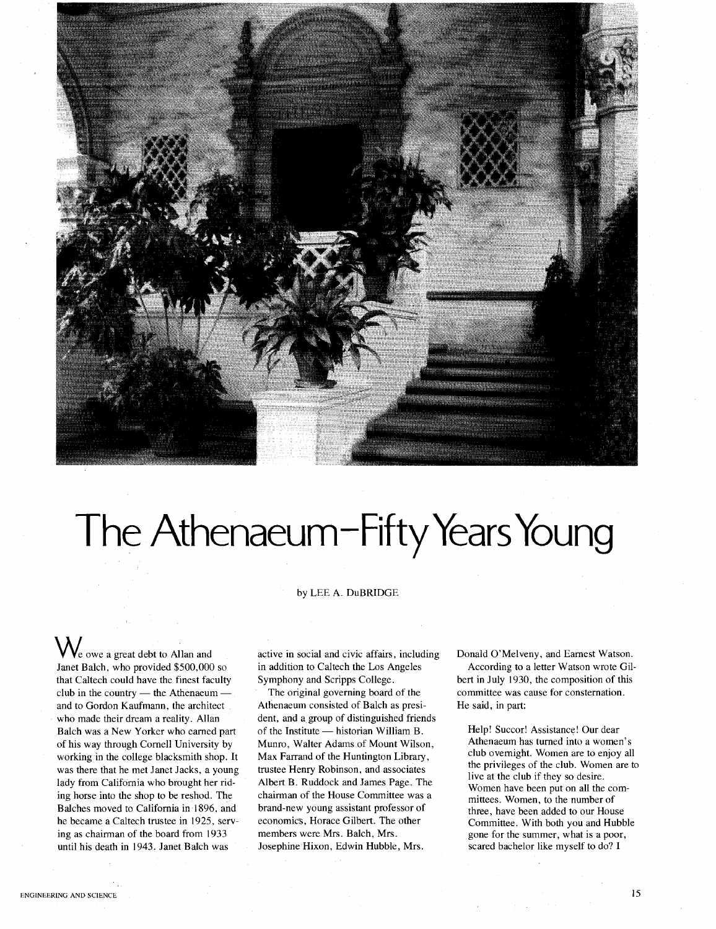

## The Athenaeum-Fifty Years Young

## by LEE A. DuBRIDGE

We owe <sup>a</sup> great debt to Allan and Janet Balch, who provided \$500,000 so that Caltech could have the finest faculty club in the country  $-$  the Athenaeum and to Gordon Kaufmann, the architect who made their dream a reality. Allan Balch was a New Yorker who earned part of his way through Cornell University by working in the college blacksmith shop. It was there that he met Janet Jacks, a young lady from California who brought her riding horse into the shop to be reshod. The Balches moved to California in ·1896, and he became a Caltech trustee in 1925, serving as chairman of the board from 1933 until his death in 1943. Janet Balch was

active in social and civic affairs, including in addition to Caltech the Los Angeles Symphony and Scripps College.

The original governing board of the Athenaeum consisted of Balch as president, and a group of distinguished friends of the Institute - historian William B. Munro, Walter Adams of Mount Wilson, Max Farrand of the Huntington Library, trustee Henry Robinson, and associates Albert B. Ruddock and James Page. The chairman of the House Committee was a brand-new young assistant professor of economics, Horace Gilbert. The other members were Mrs. Balch, Mrs. Josephine Hixon, Edwin Hubble, Mrs.

Donald O'Melveny, and Earnest Watson.

According to a letter Watson wrote Gilbert in July 1930, the composition of this committee was cause for consternation. He said, in part:

Help! Succor! Assistance! Our dear Athenaeum has turned into a women's club overnight. Women are to enjoy all the privileges of the club. Women are to live at the club if they so desire. Women have been put on all the committees. Women, to the number of three, have been added to our House Committee. With both you and Hubble gone for the summer, what is a poor, scared bachelor like myself to do? I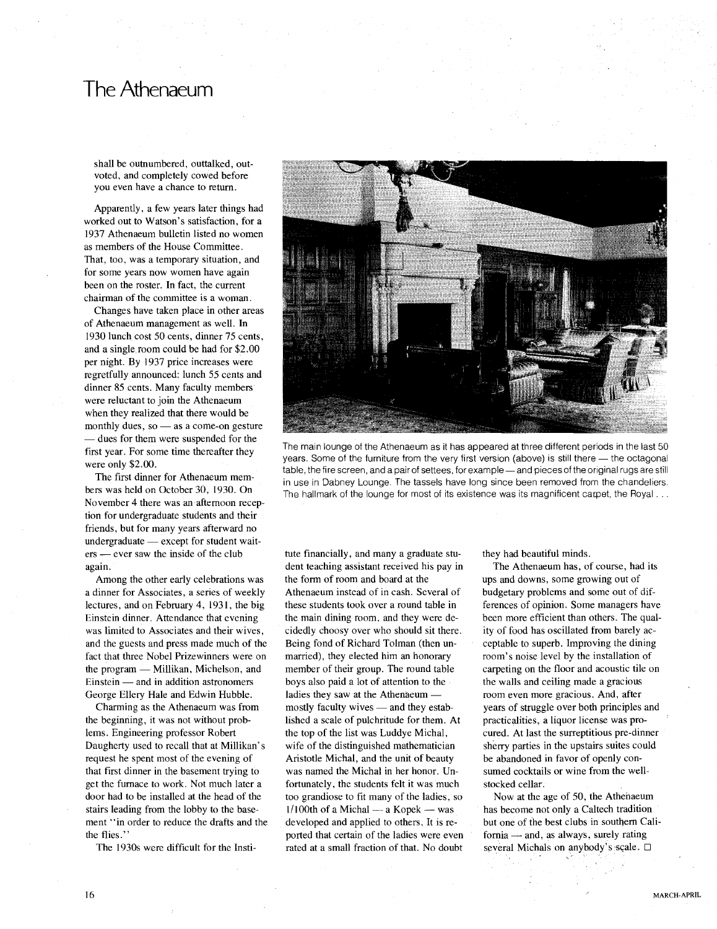## **The Athenaeum**

shall be outnumbered, outtalked, outvoted, and completely cowed before you even have a chance to return.

Apparently, a few years later things had worked out to Watson's satisfaction, for a 1937 Athenaeum bulletin listed no women as members of the House Committee. That, too, was a temporary situation, and for some years now women have again been on the roster. **In** fact, the current chairman of the committee is a woman.

Changes have taken place in other areas of Athenaeum management as well. **In** 1930 lunch cost 50 cents, dinner 75 cents, and a single room could be had for \$2.00 per night. By 1937 price increases were regretfully announced: lunch 55 cents and dinner 85 cents. Many faculty members were reluctant to join the Athenaeum when they realized that there would be monthly dues, so  $-$  as a come-on gesture - dues for them were suspended for the first year. For some time thereafter they were only \$2.00.

The first dinner for Athenaeum members was held on October 30, 1930. On November 4 there was an afternoon reception for undergraduate students and their friends, but for many years afterward no  $undergraduate - except for student wait$ ers - ever saw the inside of the club again.

Among the other early celebrations was a dinner for Associates, a series of weekly lectures, and on February 4, 1931, the big Einstein dinner. Attendance that evening was limited to Associates and their wives, and the guests and press made much of the fact that three Nobel Prizewinners were on the program — Millikan, Michelson, and Einstein - and in addition astronomers George Ellery Hale and Edwin Hubble.

Charming as the Athenaeum was from the beginning, it was not without problems. Engineering professor Robert Daugherty used to recall that at Millikan's request he spent most of the evening of that first dinner in the basement trying to get the furnace to work. Not much later a door had to be installed at the head of the stairs leading from the lobby to the basement "in order to reduce the drafts and the the flies."

The 1930s were difficult for the Insti-



The main lounge of the Athenaeum as it has appeared at three different periods in the last 50 years. Some of the furniture from the very first version (above) is still there - the octagonal table, the fire screen, and a pair of settees, for example - and pieces of the original rugs are still in use in Dabney Lounge. The tassels have long since been removed from the chandeliers. The hallmark of the lounge for most of its existence was its magnificent carpet, the Royal...

tute financially, and many a graduate student teaching assistant received his pay in the fonn of room and board at the Athenaeum instead of in cash. Several of these students took over a round table in the main dining room, and they were decidedly choosy over who should sit there. Being fond of Richard Tolman (then unmarried), they elected him an honorary member of their group. The round table boys also paid a lot of attention to the ladies they saw at the Athenaeum mostly faculty wives  $-$  and they established a scale of pulchritude for them. At the top of the list was Luddye Michal, wife of the distinguished mathematician Aristotle Michal, and the unit of beauty was named the Michal in her honor. Unfortunately, the students felt it was much too grandiose to fit many of the ladies, so  $1/100$ th of a Michal — a Kopek — was developed and applied to others. It is reported that certain of the ladies were even rated at a small fraction of that. No doubt

they had beautiful minds.

The Athenaeum has, of course, had its ups and downs, some growing out of budgetary problems and some out of differences of opinion. Some managers have been more efficient than others. The quality of food has oscillated from barely acceptable to superb. Improving the dining room's noise level by the installation of carpeting on the floor and acoustic tile on the walls and ceiling made a gracious room even more gracious. And, after years of struggle over both principles and practicalities, a liquor license was procured. At last the surreptitious pre-dinner sherry parties in the upstairs suites could be abandoned in favor of openly consumed cocktails or wine from the wellstocked cellar.

Now at the age of 50, the Athenaeum has become not only a Caltech tradition but one of the best clubs in southern Cali $fornia$   $-$  and, as always, surely rating several Michals on anybody's scale.  $\square$